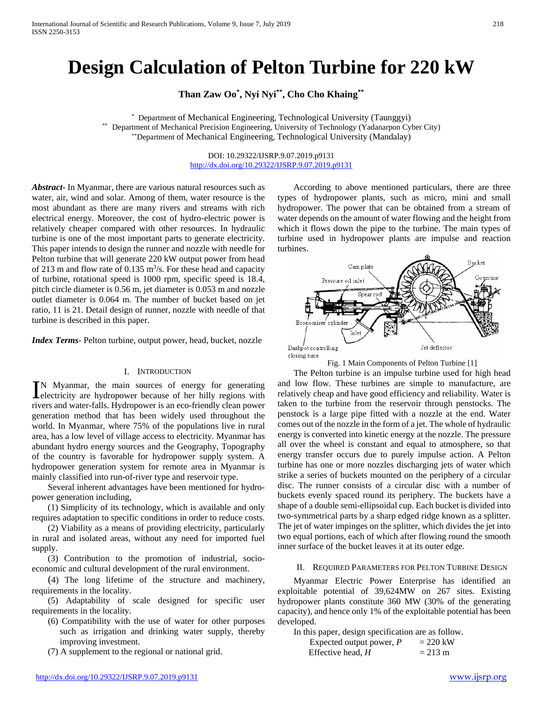# **Design Calculation of Pelton Turbine for 220 kW**

**Than Zaw Oo\* , Nyi Nyi\*\*, Cho Cho Khaing\*\***

Department of Mechanical Engineering, Technological University (Taunggyi) \*\* Department of Mechanical Precision Engineering, University of Technology (Yadanarpon Cyber City) \*\*Department of Mechanical Engineering, Technological University (Mandalay)

> DOI: 10.29322/IJSRP.9.07.2019.p9131 <http://dx.doi.org/10.29322/IJSRP.9.07.2019.p9131>

*Abstract***-** In Myanmar, there are various natural resources such as water, air, wind and solar. Among of them, water resource is the most abundant as there are many rivers and streams with rich electrical energy. Moreover, the cost of hydro-electric power is relatively cheaper compared with other resources. In hydraulic turbine is one of the most important parts to generate electricity. This paper intends to design the runner and nozzle with needle for Pelton turbine that will generate 220 kW output power from head of 213 m and flow rate of 0.135  $\text{m}^3$ /s. For these head and capacity of turbine, rotational speed is 1000 rpm, specific speed is 18.4, pitch circle diameter is 0.56 m, jet diameter is 0.053 m and nozzle outlet diameter is 0.064 m. The number of bucket based on jet ratio, 11 is 21. Detail design of runner, nozzle with needle of that turbine is described in this paper.

*Index Terms*- Pelton turbine, output power, head, bucket, nozzle

### I. INTRODUCTION

N Myanmar, the main sources of energy for generating IN Myanmar, the main sources of energy for generating<br>electricity are hydropower because of her hilly regions with rivers and water-falls. Hydropower is an eco-friendly clean power generation method that has been widely used throughout the world. In Myanmar, where 75% of the populations live in rural area, has a low level of village access to electricity. Myanmar has abundant hydro energy sources and the Geography, Topography of the country is favorable for hydropower supply system. A hydropower generation system for remote area in Myanmar is mainly classified into run-of-river type and reservoir type.

Several inherent advantages have been mentioned for hydropower generation including,

(1) Simplicity of its technology, which is available and only requires adaptation to specific conditions in order to reduce costs.

(2) Viability as a means of providing electricity, particularly in rural and isolated areas, without any need for imported fuel supply.

(3) Contribution to the promotion of industrial, socioeconomic and cultural development of the rural environment.

(4) The long lifetime of the structure and machinery, requirements in the locality.

(5) Adaptability of scale designed for specific user requirements in the locality.

(6) Compatibility with the use of water for other purposes such as irrigation and drinking water supply, thereby improving investment.

(7) A supplement to the regional or national grid.

II. REQUIRED PARAMETERS FOR PELTON TURBINE DESIGN

Myanmar Electric Power Enterprise has identified an exploitable potential of 39,624MW on 267 sites. Existing hydropower plants constitute 360 MW (30% of the generating capacity), and hence only 1% of the exploitable potential has been developed.

| In this paper, design specification are as follow. |                   |
|----------------------------------------------------|-------------------|
| Expected output power, $P$                         | $= 220$ kW        |
| Effective head, $H$                                | $= 213 \text{ m}$ |

According to above mentioned particulars, there are three types of hydropower plants, such as micro, mini and small hydropower. The power that can be obtained from a stream of water depends on the amount of water flowing and the height from which it flows down the pipe to the turbine. The main types of turbine used in hydropower plants are impulse and reaction turbines.



Fig. 1 Main Components of Pelton Turbine [1]

The Pelton turbine is an impulse turbine used for high head and low flow. These turbines are simple to manufacture, are relatively cheap and have good efficiency and reliability. Water is taken to the turbine from the reservoir through penstocks. The penstock is a large pipe fitted with a nozzle at the end. Water comes out of the nozzle in the form of a jet. The whole of hydraulic energy is converted into kinetic energy at the nozzle. The pressure all over the wheel is constant and equal to atmosphere, so that energy transfer occurs due to purely impulse action. A Pelton turbine has one or more nozzles discharging jets of water which strike a series of buckets mounted on the periphery of a circular disc. The runner consists of a circular disc with a number of buckets evenly spaced round its periphery. The buckets have a shape of a double semi-ellipsoidal cup. Each bucket is divided into two-symmetrical parts by a sharp edged ridge known as a splitter. The jet of water impinges on the splitter, which divides the jet into two equal portions, each of which after flowing round the smooth inner surface of the bucket leaves it at its outer edge.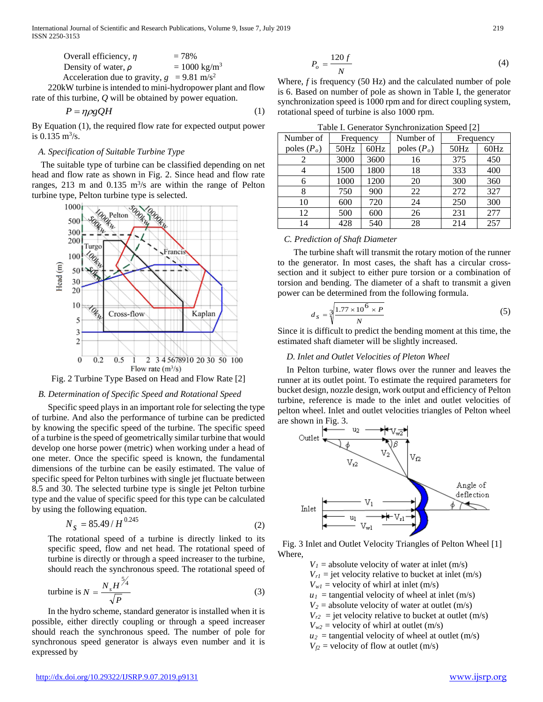International Journal of Scientific and Research Publications, Volume 9, Issue 7, July 2019 219 ISSN 2250-3153

| Overall efficiency, $\eta$                               | $= 78%$                 |
|----------------------------------------------------------|-------------------------|
| Density of water, $\rho$                                 | $= 1000 \text{ kg/m}^3$ |
| Acceleration due to gravity, $g = 9.81$ m/s <sup>2</sup> |                         |

220kW turbine is intended to mini-hydropower plant and flow rate of this turbine, *Q* will be obtained by power equation.

$$
P = \eta \rho g Q H \tag{1}
$$

By Equation (1), the required flow rate for expected output power is 0.135  $\rm m^3/s$ .

## *A. Specification of Suitable Turbine Type*

The suitable type of turbine can be classified depending on net head and flow rate as shown in Fig. 2. Since head and flow rate ranges, 213 m and  $0.135 \text{ m}^3/\text{s}$  are within the range of Pelton turbine type, Pelton turbine type is selected.



Fig. 2 Turbine Type Based on Head and Flow Rate [2]

#### *B. Determination of Specific Speed and Rotational Speed*

Specific speed plays in an important role for selecting the type of turbine. And also the performance of turbine can be predicted by knowing the specific speed of the turbine. The specific speed of a turbine is the speed of geometrically similar turbine that would develop one horse power (metric) when working under a head of one meter. Once the specific speed is known, the fundamental dimensions of the turbine can be easily estimated. The value of specific speed for Pelton turbines with single jet fluctuate between 8.5 and 30. The selected turbine type is single jet Pelton turbine type and the value of specific speed for this type can be calculated by using the following equation.

$$
N_{s} = 85.49/H^{0.245}
$$
 (2)

The rotational speed of a turbine is directly linked to its specific speed, flow and net head. The rotational speed of turbine is directly or through a speed increaser to the turbine, should reach the synchronous speed. The rotational speed of

turbine is 
$$
N = \frac{N_s H^{\frac{5}{4}}}{\sqrt{P}}
$$
 (3)

In the hydro scheme, standard generator is installed when it is possible, either directly coupling or through a speed increaser should reach the synchronous speed. The number of pole for synchronous speed generator is always even number and it is expressed by

$$
P_o = \frac{120 f}{N} \tag{4}
$$

Where, *f* is frequency (50 Hz) and the calculated number of pole is 6. Based on number of pole as shown in Table I, the generator synchronization speed is 1000 rpm and for direct coupling system, rotational speed of turbine is also 1000 rpm.

Table I. Generator Synchronization Speed [2]

|               |           |      | racio il comercito privilente di provene i |           |      |
|---------------|-----------|------|--------------------------------------------|-----------|------|
| Number of     | Frequency |      | Number of                                  | Frequency |      |
| poles $(P_o)$ | 50Hz      | 60Hz | poles $(P_o)$                              | 50Hz      | 60Hz |
|               | 3000      | 3600 | 16                                         | 375       | 450  |
|               | 1500      | 1800 | 18                                         | 333       | 400  |
| 6             | 1000      | 1200 | 20                                         | 300       | 360  |
| 8             | 750       | 900  | 22                                         | 272       | 327  |
| 10            | 600       | 720  | 24                                         | 250       | 300  |
| 12            | 500       | 600  | 26                                         | 231       | 277  |
| 14            | 428       | 540  | 28                                         | 214       | 257  |

#### *C. Prediction of Shaft Diameter*

The turbine shaft will transmit the rotary motion of the runner to the generator. In most cases, the shaft has a circular crosssection and it subject to either pure torsion or a combination of torsion and bending. The diameter of a shaft to transmit a given power can be determined from the following formula.

$$
d_s = \sqrt[3]{\frac{1.77 \times 10^6 \times P}{N}}
$$
 (5)

Since it is difficult to predict the bending moment at this time, the estimated shaft diameter will be slightly increased.

#### *D. Inlet and Outlet Velocities of Pleton Wheel*

In Pelton turbine, water flows over the runner and leaves the runner at its outlet point. To estimate the required parameters for bucket design, nozzle design, work output and efficiency of Pelton turbine, reference is made to the inlet and outlet velocities of pelton wheel. Inlet and outlet velocities triangles of Pelton wheel are shown in Fig. 3.



Fig. 3 Inlet and Outlet Velocity Triangles of Pelton Wheel [1] Where,

- $V_1$  = absolute velocity of water at inlet (m/s)
	- $V_{rl}$  = jet velocity relative to bucket at inlet (m/s)
	- $V_{wl}$  = velocity of whirl at inlet (m/s)

 $u_1$  = tangential velocity of wheel at inlet (m/s)

- $V_2$  = absolute velocity of water at outlet (m/s)
- $V_{r2}$  = jet velocity relative to bucket at outlet (m/s)
- $V_{w2}$  = velocity of whirl at outlet (m/s)
- $u_2$  = tangential velocity of wheel at outlet (m/s)
- $V_f$ <sup>2</sup> = velocity of flow at outlet (m/s)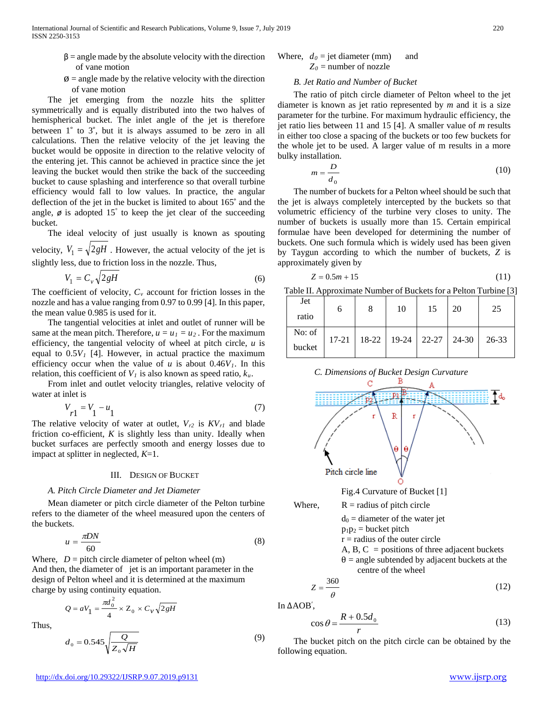- $\beta$  = angle made by the absolute velocity with the direction of vane motion
- $\phi$  = angle made by the relative velocity with the direction of vane motion

The jet emerging from the nozzle hits the splitter symmetrically and is equally distributed into the two halves of hemispherical bucket. The inlet angle of the jet is therefore between 1° to 3°, but it is always assumed to be zero in all calculations. Then the relative velocity of the jet leaving the bucket would be opposite in direction to the relative velocity of the entering jet. This cannot be achieved in practice since the jet leaving the bucket would then strike the back of the succeeding bucket to cause splashing and interference so that overall turbine efficiency would fall to low values. In practice, the angular deflection of the jet in the bucket is limited to about 165˚ and the angle,  $\phi$  is adopted 15° to keep the jet clear of the succeeding bucket.

The ideal velocity of just usually is known as spouting velocity,  $V_1 = \sqrt{2gH}$ . However, the actual velocity of the jet is

slightly less, due to friction loss in the nozzle. Thus,

$$
V_1 = C_v \sqrt{2gH} \tag{6}
$$

The coefficient of velocity,  $C_v$  account for friction losses in the nozzle and has a value ranging from 0.97 to 0.99 [4]. In this paper, the mean value 0.985 is used for it.

The tangential velocities at inlet and outlet of runner will be same at the mean pitch. Therefore,  $u = u_1 = u_2$ . For the maximum efficiency, the tangential velocity of wheel at pitch circle, *u* is equal to  $0.5V<sub>1</sub>$  [4]. However, in actual practice the maximum efficiency occur when the value of  $u$  is about  $0.46V<sub>1</sub>$ . In this relation, this coefficient of  $V_l$  is also known as speed ratio,  $k_u$ .

From inlet and outlet velocity triangles, relative velocity of water at inlet is

$$
V_{r1} = V_1 - u_1 \tag{7}
$$

The relative velocity of water at outlet,  $V_{r2}$  is  $KV_{r1}$  and blade friction co-efficient, *K* is slightly less than unity. Ideally when bucket surfaces are perfectly smooth and energy losses due to impact at splitter in neglected, *K*=1.

#### III. DESIGN OF BUCKET

#### *A. Pitch Circle Diameter and Jet Diameter*

Mean diameter or pitch circle diameter of the Pelton turbine refers to the diameter of the wheel measured upon the centers of the buckets.

$$
u = \frac{\pi DN}{60} \tag{8}
$$

Where,  $D =$  pitch circle diameter of pelton wheel (m) And then, the diameter of jet is an important parameter in the design of Pelton wheel and it is determined at the maximum charge by using continuity equation.

$$
Q = aV_1 = \frac{\pi d_0^2}{4} \times Z_0 \times C_v \sqrt{2gH}
$$

Thus,

$$
d_0 = 0.545 \sqrt{\frac{Q}{Z_0 \sqrt{H}}}
$$
\n(9)

# Where,  $d_0 =$  jet diameter (mm) and  $Z_0$  = number of nozzle

# *B. Jet Ratio and Number of Bucket*

The ratio of pitch circle diameter of Pelton wheel to the jet diameter is known as jet ratio represented by *m* and it is a size parameter for the turbine. For maximum hydraulic efficiency, the jet ratio lies between 11 and 15 [4]. A smaller value of *m* results in either too close a spacing of the buckets or too few buckets for the whole jet to be used. A larger value of m results in a more bulky installation.

$$
m = \frac{D}{d_0} \tag{10}
$$

The number of buckets for a Pelton wheel should be such that the jet is always completely intercepted by the buckets so that volumetric efficiency of the turbine very closes to unity. The number of buckets is usually more than 15. Certain empirical formulae have been developed for determining the number of buckets. One such formula which is widely used has been given by Taygun according to which the number of buckets, *Z* is approximately given by

$$
Z = 0.5m + 15\tag{11}
$$

Table II. Approximate Number of Buckets for a Pelton Turbine [3]

| Jet<br>ratio     | O | 8                                             | 10 | 15 | 20 | 25    |
|------------------|---|-----------------------------------------------|----|----|----|-------|
| No: of<br>bucket |   | $17-21$   $18-22$   $19-24$   $22-27$   24-30 |    |    |    | 26-33 |



$$
center of the wheel
$$
\n
$$
360 \tag{12}
$$

$$
Z = \frac{360}{\theta} \tag{12}
$$

In ΔAOB′ ,

$$
\cos \theta = \frac{R + 0.5d_0}{r}
$$
 (13)

The bucket pitch on the pitch circle can be obtained by the following equation.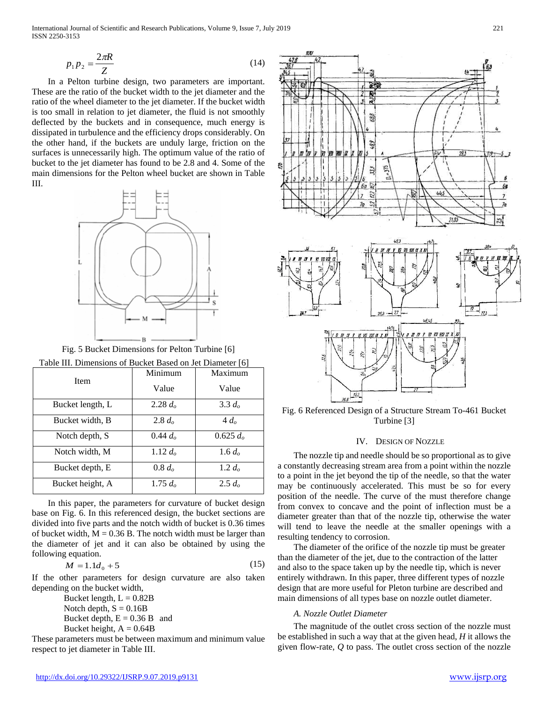International Journal of Scientific and Research Publications, Volume 9, Issue 7, July 2019 221 ISSN 2250-3153

$$
p_1 p_2 = \frac{2\pi R}{Z} \tag{14}
$$

In a Pelton turbine design, two parameters are important. These are the ratio of the bucket width to the jet diameter and the ratio of the wheel diameter to the jet diameter. If the bucket width is too small in relation to jet diameter, the fluid is not smoothly deflected by the buckets and in consequence, much energy is dissipated in turbulence and the efficiency drops considerably. On the other hand, if the buckets are unduly large, friction on the surfaces is unnecessarily high. The optimum value of the ratio of bucket to the jet diameter has found to be 2.8 and 4. Some of the main dimensions for the Pelton wheel bucket are shown in Table III.



Fig. 5 Bucket Dimensions for Pelton Turbine [6]

| Table III. Dimensions of Bucket Based on Jet Diameter [6] |            |             |  |  |
|-----------------------------------------------------------|------------|-------------|--|--|
|                                                           | Minimum    | Maximum     |  |  |
| Item                                                      | Value      | Value       |  |  |
| Bucket length, L                                          | 2.28 $d_o$ | 3.3 $d_o$   |  |  |
| Bucket width, B                                           | 2.8 $d_o$  | $4d_o$      |  |  |
| Notch depth, S                                            | 0.44 $d_o$ | $0.625 d_0$ |  |  |
| Notch width, M                                            | 1.12 $d_o$ | 1.6 $d_o$   |  |  |
| Bucket depth, E                                           | $0.8 d_o$  | 1.2 $d_o$   |  |  |
| Bucket height, A                                          | 1.75 $d_o$ | $2.5 d_0$   |  |  |

In this paper, the parameters for curvature of bucket design base on Fig. 6. In this referenced design, the bucket sections are divided into five parts and the notch width of bucket is 0.36 times of bucket width,  $M = 0.36$  B. The notch width must be larger than the diameter of jet and it can also be obtained by using the following equation.

$$
M = 1.1d_0 + 5 \tag{15}
$$

If the other parameters for design curvature are also taken depending on the bucket width,

> Bucket length,  $L = 0.82B$ Notch depth,  $S = 0.16B$ Bucket depth,  $E = 0.36$  B and Bucket height,  $A = 0.64B$

These parameters must be between maximum and minimum value respect to jet diameter in Table III.



Fig. 6 Referenced Design of a Structure Stream To-461 Bucket Turbine [3]

#### IV. DESIGN OF NOZZLE

The nozzle tip and needle should be so proportional as to give a constantly decreasing stream area from a point within the nozzle to a point in the jet beyond the tip of the needle, so that the water may be continuously accelerated. This must be so for every position of the needle. The curve of the must therefore change from convex to concave and the point of inflection must be a diameter greater than that of the nozzle tip, otherwise the water will tend to leave the needle at the smaller openings with a resulting tendency to corrosion.

The diameter of the orifice of the nozzle tip must be greater than the diameter of the jet, due to the contraction of the latter and also to the space taken up by the needle tip, which is never entirely withdrawn. In this paper, three different types of nozzle design that are more useful for Pleton turbine are described and main dimensions of all types base on nozzle outlet diameter.

## *A. Nozzle Outlet Diameter*

The magnitude of the outlet cross section of the nozzle must be established in such a way that at the given head, *H* it allows the given flow-rate, *Q* to pass. The outlet cross section of the nozzle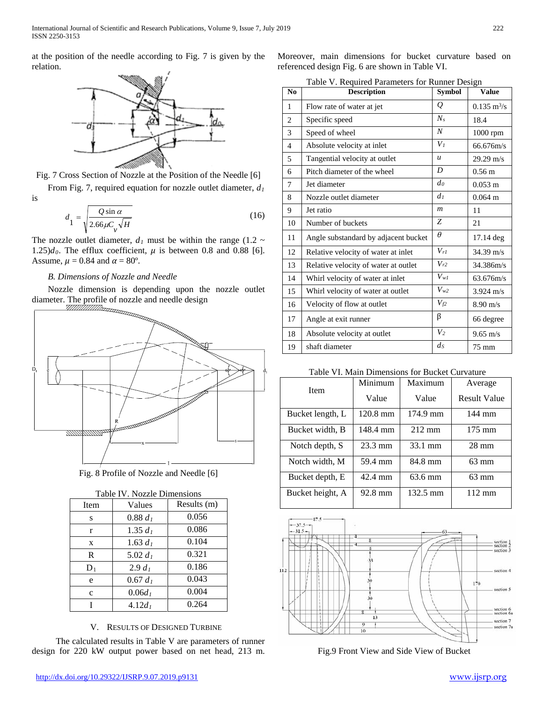at the position of the needle according to Fig. 7 is given by the relation.



Fig. 7 Cross Section of Nozzle at the Position of the Needle [6]

From Fig. 7, required equation for nozzle outlet diameter,  $d_1$ is

$$
d_1 = \sqrt{\frac{Q \sin \alpha}{2.66 \mu C_v \sqrt{H}}}
$$
(16)

The nozzle outlet diameter,  $d_1$  must be within the range (1.2  $\sim$ 1.25) $d_0$ . The efflux coefficient,  $\mu$  is between 0.8 and 0.88 [6]. Assume,  $\mu = 0.84$  and  $\alpha = 80^{\circ}$ .

# *B. Dimensions of Nozzle and Needle*

Nozzle dimension is depending upon the nozzle outlet diameter. The profile of nozzle and needle design<br> *Hamma* 



Fig. 8 Profile of Nozzle and Needle [6]

| Table IV. Nozzle Dimensions |                       |       |  |  |
|-----------------------------|-----------------------|-------|--|--|
| Item                        | Results (m)<br>Values |       |  |  |
| S                           | $0.88 d_1$            | 0.056 |  |  |
| r                           | 1.35 $d_1$            | 0.086 |  |  |
| X                           | 1.63 $d_1$            | 0.104 |  |  |
| R                           | 5.02 $d_1$            | 0.321 |  |  |
| $D_1$                       | $2.9 d_1$             | 0.186 |  |  |
| e                           | $0.67 d_1$            | 0.043 |  |  |
| $\mathbf{C}$                | $0.06d_1$             | 0.004 |  |  |
|                             | $4.12d_1$             | 0.264 |  |  |

V. RESULTS OF DESIGNED TURBINE

The calculated results in Table V are parameters of runner design for 220 kW output power based on net head, 213 m.

Moreover, main dimensions for bucket curvature based on referenced design Fig. 6 are shown in Table VI.

Table V. Required Parameters for Runner Design

| N <sub>0</sub> | <b>Description</b>                   | <b>Symbol</b>    | <b>Value</b>          |
|----------------|--------------------------------------|------------------|-----------------------|
| 1              | Flow rate of water at jet            | Q                | $0.135 \; \rm m^3/s$  |
| $\overline{2}$ | Specific speed                       | $N_{s}$          | 18.4                  |
| 3              | Speed of wheel                       | $\boldsymbol{N}$ | 1000 rpm              |
| $\overline{4}$ | Absolute velocity at inlet           | V <sub>I</sub>   | 66.676m/s             |
| 5              | Tangential velocity at outlet        | $\boldsymbol{u}$ | $29.29 \text{ m/s}$   |
| 6              | Pitch diameter of the wheel          | D                | $0.56 \text{ m}$      |
| 7              | Jet diameter                         | d <sub>0</sub>   | $0.053 \; \mathrm{m}$ |
| 8              | Nozzle outlet diameter               | d <sub>I</sub>   | $0.064 \; \mathrm{m}$ |
| 9              | Jet ratio                            | $\boldsymbol{m}$ | 11                    |
| 10             | Number of buckets                    | Z                | 21                    |
| 11             | Angle substandard by adjacent bucket | $\theta$         | 17.14 deg             |
| 12             | Relative velocity of water at inlet  | $V_{rI}$         | $34.39 \text{ m/s}$   |
| 13             | Relative velocity of water at outlet | $V_{r2}$         | 34.386m/s             |
| 14             | Whirl velocity of water at inlet     | $V_{wl}$         | 63.676m/s             |
| 15             | Whirl velocity of water at outlet    | $V_{w2}$         | $3.924 \text{ m/s}$   |
| 16             | Velocity of flow at outlet           | $V_{f2}$         | $8.90 \text{ m/s}$    |
| 17             | Angle at exit runner                 | β                | 66 degree             |
| 18             | Absolute velocity at outlet          | V <sub>2</sub>   | $9.65 \text{ m/s}$    |
| 19             | shaft diameter                       | ds               | $75 \text{ mm}$       |

# Table VI. Main Dimensions for Bucket Curvature

| Item             | Minimum<br>Maximum |                   | Average             |  |
|------------------|--------------------|-------------------|---------------------|--|
|                  | Value              | Value             | <b>Result Value</b> |  |
| Bucket length, L | $120.8 \text{ mm}$ | 174.9 mm          | 144 mm              |  |
| Bucket width, B  | 148.4 mm           | $212 \text{ mm}$  | $175 \text{ mm}$    |  |
| Notch depth, S   | $23.3 \text{ mm}$  | 33.1 mm           | $28 \text{ mm}$     |  |
| Notch width, M   | 59.4 mm            | 84.8 mm           | $63 \text{ mm}$     |  |
| Bucket depth, E  | 42.4 mm            | $63.6 \text{ mm}$ | $63 \text{ mm}$     |  |
| Bucket height, A | 92.8 mm            | 132.5 mm          | $112 \text{ mm}$    |  |



Fig.9 Front View and Side View of Bucket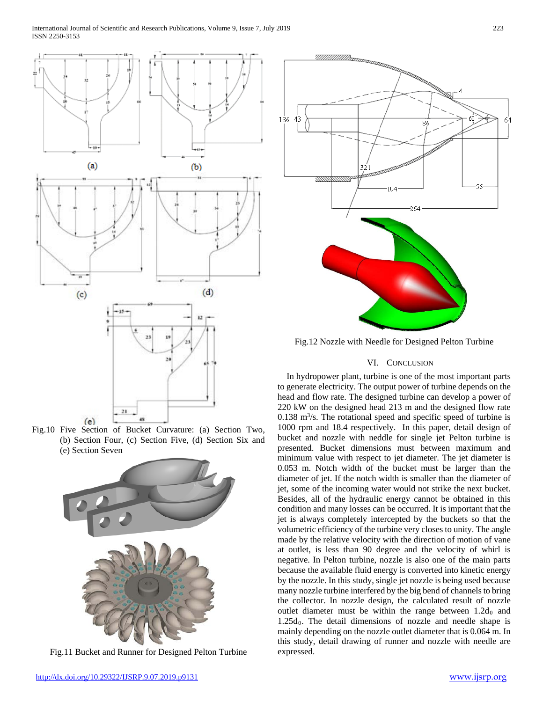

Fig.10 Five Section of Bucket Curvature: (a) Section Two, (b) Section Four, (c) Section Five, (d) Section Six and (e) Section Seven



Fig.11 Bucket and Runner for Designed Pelton Turbine



Fig.12 Nozzle with Needle for Designed Pelton Turbine

# VI. CONCLUSION

In hydropower plant, turbine is one of the most important parts to generate electricity. The output power of turbine depends on the head and flow rate. The designed turbine can develop a power of 220 kW on the designed head 213 m and the designed flow rate  $0.138 \text{ m}^3\text{/s}$ . The rotational speed and specific speed of turbine is 1000 rpm and 18.4 respectively. In this paper, detail design of bucket and nozzle with neddle for single jet Pelton turbine is presented. Bucket dimensions must between maximum and minimum value with respect to jet diameter. The jet diameter is 0.053 m. Notch width of the bucket must be larger than the diameter of jet. If the notch width is smaller than the diameter of jet, some of the incoming water would not strike the next bucket. Besides, all of the hydraulic energy cannot be obtained in this condition and many losses can be occurred. It is important that the jet is always completely intercepted by the buckets so that the volumetric efficiency of the turbine very closes to unity. The angle made by the relative velocity with the direction of motion of vane at outlet, is less than 90 degree and the velocity of whirl is negative. In Pelton turbine, nozzle is also one of the main parts because the available fluid energy is converted into kinetic energy by the nozzle. In this study, single jet nozzle is being used because many nozzle turbine interfered by the big bend of channels to bring the collector. In nozzle design, the calculated result of nozzle outlet diameter must be within the range between  $1.2d_0$  and  $1.25d_0$ . The detail dimensions of nozzle and needle shape is mainly depending on the nozzle outlet diameter that is 0.064 m. In this study, detail drawing of runner and nozzle with needle are expressed.